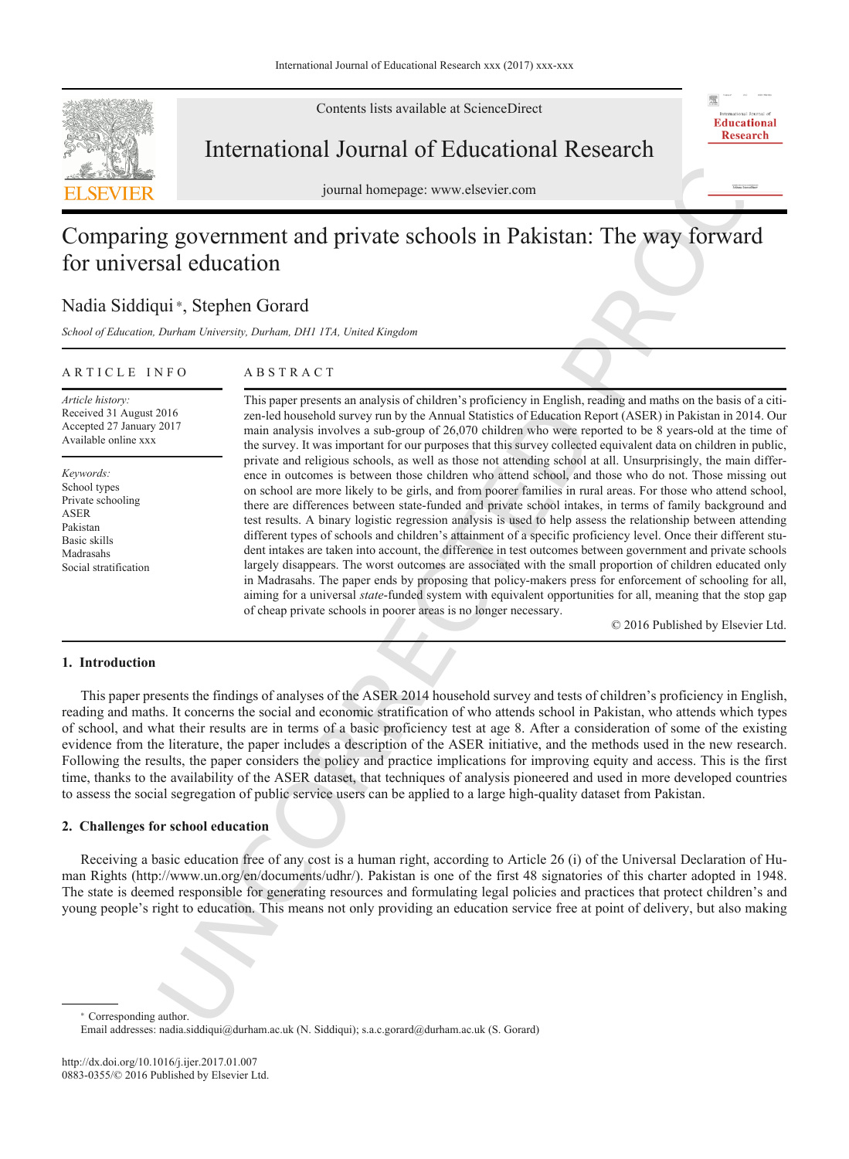

Contents lists available at ScienceDirect

## International Journal of Educational Research

journal homepage: www.elsevier.com

# Comparing government and private schools in Pakistan: The way forward for universal education

## Nadia Siddiqui\*, Stephen Gorard

*School of Education, Durham University, Durham, DH1 1TA, United Kingdom*

## ARTICLE INFO

ABSTRACT

*Article history:* Received 31 August 2016 Accepted 27 January 2017 Available online xxx

*Keywords:* School types Private schooling ASER Pakistan Basic skills Madrasahs Social stratification International Journal of Educational Research<br>
Summit hempes www.distist.com<br>
Summit hempes www.distist.com<br>
Summit hempes www.distist.com<br>
Summit hempes www.distist.com<br>
Summit hempes and private schools in Pakistan: The This paper presents an analysis of children's proficiency in English, reading and maths on the basis of a citizen-led household survey run by the Annual Statistics of Education Report (ASER) in Pakistan in 2014. Our main analysis involves a sub-group of 26,070 children who were reported to be 8 years-old at the time of the survey. It was important for our purposes that this survey collected equivalent data on children in public, private and religious schools, as well as those not attending school at all. Unsurprisingly, the main difference in outcomes is between those children who attend school, and those who do not. Those missing out on school are more likely to be girls, and from poorer families in rural areas. For those who attend school, there are differences between state-funded and private school intakes, in terms of family background and test results. A binary logistic regression analysis is used to help assess the relationship between attending different types of schools and children's attainment of a specific proficiency level. Once their different student intakes are taken into account, the difference in test outcomes between government and private schools largely disappears. The worst outcomes are associated with the small proportion of children educated only in Madrasahs. The paper ends by proposing that policy-makers press for enforcement of schooling for all, aiming for a universal *state*-funded system with equivalent opportunities for all, meaning that the stop gap of cheap private schools in poorer areas is no longer necessary.

© 2016 Published by Elsevier Ltd.

贾

## **1. Introduction**

This paper presents the findings of analyses of the ASER 2014 household survey and tests of children's proficiency in English, reading and maths. It concerns the social and economic stratification of who attends school in Pakistan, who attends which types of school, and what their results are in terms of a basic proficiency test at age 8. After a consideration of some of the existing evidence from the literature, the paper includes a description of the ASER initiative, and the methods used in the new research. Following the results, the paper considers the policy and practice implications for improving equity and access. This is the first time, thanks to the availability of the ASER dataset, that techniques of analysis pioneered and used in more developed countries to assess the social segregation of public service users can be applied to a large high-quality dataset from Pakistan.

## **2. Challenges for school education**

Receiving a basic education free of any cost is a human right, according to Article 26 (i) of the Universal Declaration of Human Rights (http://www.un.org/en/documents/udhr/). Pakistan is one of the first 48 signatories of this charter adopted in 1948. The state is deemed responsible for generating resources and formulating legal policies and practices that protect children's and young people's right to education. This means not only providing an education service free at point of delivery, but also making

Corresponding author.

Email addresses: nadia.siddiqui@durham.ac.uk (N. Siddiqui); s.a.c.gorard@durham.ac.uk (S. Gorard)

http://dx.doi.org/10.1016/j.ijer.2017.01.007 0883-0355/© 2016 Published by Elsevier Ltd.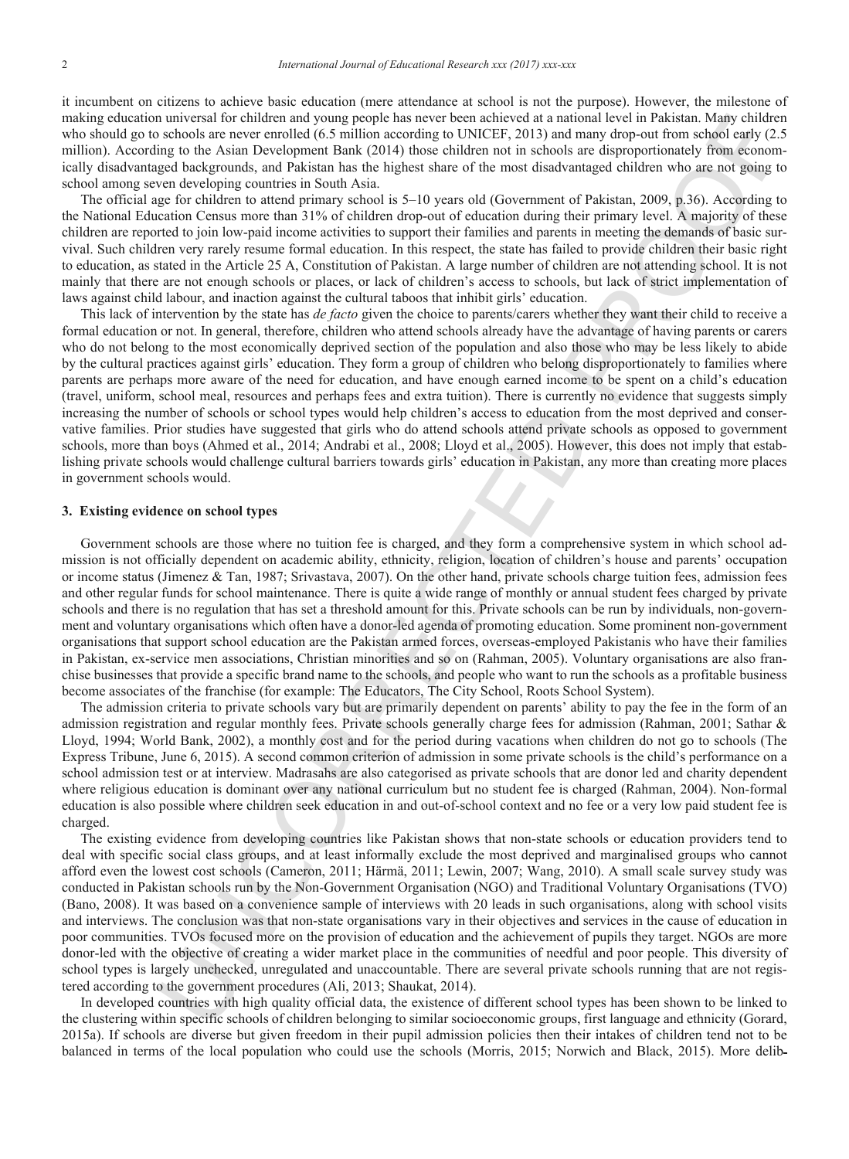it incumbent on citizens to achieve basic education (mere attendance at school is not the purpose). However, the milestone of making education universal for children and young people has never been achieved at a national level in Pakistan. Many children who should go to schools are never enrolled (6.5 million according to UNICEF, 2013) and many drop-out from school early (2.5 million). According to the Asian Development Bank (2014) those children not in schools are disproportionately from economically disadvantaged backgrounds, and Pakistan has the highest share of the most disadvantaged children who are not going to school among seven developing countries in South Asia.

The official age for children to attend primary school is 5–10 years old (Government of Pakistan, 2009, p.36). According to the National Education Census more than 31% of children drop-out of education during their primary level. A majority of these children are reported to join low-paid income activities to support their families and parents in meeting the demands of basic survival. Such children very rarely resume formal education. In this respect, the state has failed to provide children their basic right to education, as stated in the Article 25 A, Constitution of Pakistan. A large number of children are not attending school. It is not mainly that there are not enough schools or places, or lack of children's access to schools, but lack of strict implementation of laws against child labour, and inaction against the cultural taboos that inhibit girls' education.

n anviousl for traindary and pour groups in moved by the animal local interaction and the simulation and the simulation of the simulation of the simulation of the simulation of the simulation of the simulation of the simul This lack of intervention by the state has *de facto* given the choice to parents/carers whether they want their child to receive a formal education or not. In general, therefore, children who attend schools already have the advantage of having parents or carers who do not belong to the most economically deprived section of the population and also those who may be less likely to abide by the cultural practices against girls' education. They form a group of children who belong disproportionately to families where parents are perhaps more aware of the need for education, and have enough earned income to be spent on a child's education (travel, uniform, school meal, resources and perhaps fees and extra tuition). There is currently no evidence that suggests simply increasing the number of schools or school types would help children's access to education from the most deprived and conservative families. Prior studies have suggested that girls who do attend schools attend private schools as opposed to government schools, more than boys (Ahmed et al., 2014; Andrabi et al., 2008; Lloyd et al., 2005). However, this does not imply that establishing private schools would challenge cultural barriers towards girls' education in Pakistan, any more than creating more places in government schools would.

## **3. Existing evidence on school types**

Government schools are those where no tuition fee is charged, and they form a comprehensive system in which school admission is not officially dependent on academic ability, ethnicity, religion, location of children's house and parents' occupation or income status (Jimenez & Tan, 1987; Srivastava, 2007). On the other hand, private schools charge tuition fees, admission fees and other regular funds for school maintenance. There is quite a wide range of monthly or annual student fees charged by private schools and there is no regulation that has set a threshold amount for this. Private schools can be run by individuals, non-government and voluntary organisations which often have a donor-led agenda of promoting education. Some prominent non-government organisations that support school education are the Pakistan armed forces, overseas-employed Pakistanis who have their families in Pakistan, ex-service men associations, Christian minorities and so on (Rahman, 2005). Voluntary organisations are also franchise businesses that provide a specific brand name to the schools, and people who want to run the schools as a profitable business become associates of the franchise (for example: The Educators, The City School, Roots School System).

The admission criteria to private schools vary but are primarily dependent on parents' ability to pay the fee in the form of an admission registration and regular monthly fees. Private schools generally charge fees for admission (Rahman, 2001; Sathar & Lloyd, 1994; World Bank, 2002), a monthly cost and for the period during vacations when children do not go to schools (The Express Tribune, June 6, 2015). A second common criterion of admission in some private schools is the child's performance on a school admission test or at interview. Madrasahs are also categorised as private schools that are donor led and charity dependent where religious education is dominant over any national curriculum but no student fee is charged (Rahman, 2004). Non-formal education is also possible where children seek education in and out-of-school context and no fee or a very low paid student fee is charged.

The existing evidence from developing countries like Pakistan shows that non-state schools or education providers tend to deal with specific social class groups, and at least informally exclude the most deprived and marginalised groups who cannot afford even the lowest cost schools (Cameron, 2011; Härmä, 2011; Lewin, 2007; Wang, 2010). A small scale survey study was conducted in Pakistan schools run by the Non-Government Organisation (NGO) and Traditional Voluntary Organisations (TVO) (Bano, 2008). It was based on a convenience sample of interviews with 20 leads in such organisations, along with school visits and interviews. The conclusion was that non-state organisations vary in their objectives and services in the cause of education in poor communities. TVOs focused more on the provision of education and the achievement of pupils they target. NGOs are more donor-led with the objective of creating a wider market place in the communities of needful and poor people. This diversity of school types is largely unchecked, unregulated and unaccountable. There are several private schools running that are not registered according to the government procedures (Ali, 2013; Shaukat, 2014).

In developed countries with high quality official data, the existence of different school types has been shown to be linked to the clustering within specific schools of children belonging to similar socioeconomic groups, first language and ethnicity (Gorard, 2015a). If schools are diverse but given freedom in their pupil admission policies then their intakes of children tend not to be balanced in terms of the local population who could use the schools (Morris, 2015; Norwich and Black, 2015). More delib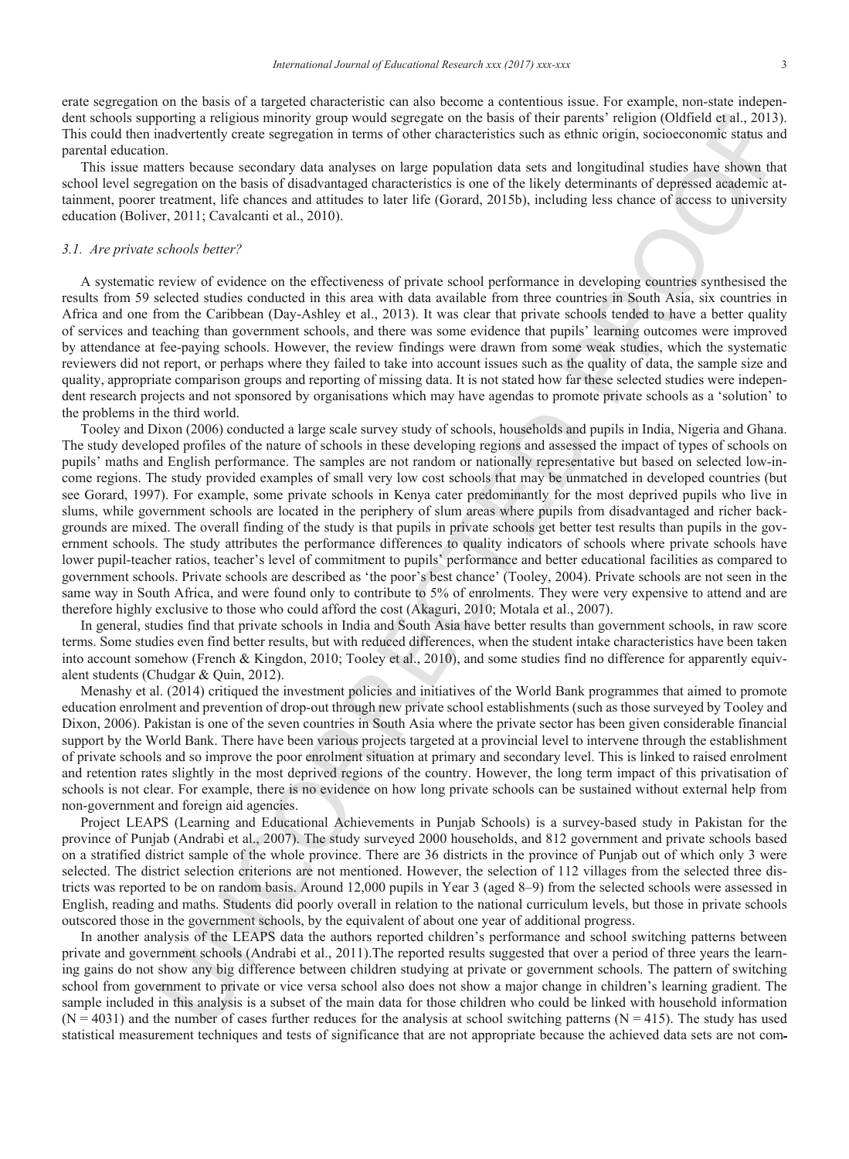erate segregation on the basis of a targeted characteristic can also become a contentious issue. For example, non-state independent schools supporting a religious minority group would segregate on the basis of their parents' religion (Oldfield et al., 2013). This could then inadvertently create segregation in terms of other characteristics such as ethnic origin, socioeconomic status and parental education.

This issue matters because secondary data analyses on large population data sets and longitudinal studies have shown that school level segregation on the basis of disadvantaged characteristics is one of the likely determinants of depressed academic attainment, poorer treatment, life chances and attitudes to later life (Gorard, 2015b), including less chance of access to university education (Boliver, 2011; Cavalcanti et al., 2010).

## *3.1. Are private schools better?*

A systematic review of evidence on the effectiveness of private school performance in developing countries synthesised the results from 59 selected studies conducted in this area with data available from three countries in South Asia, six countries in Africa and one from the Caribbean (Day-Ashley et al., 2013). It was clear that private schools tended to have a better quality of services and teaching than government schools, and there was some evidence that pupils' learning outcomes were improved by attendance at fee-paying schools. However, the review findings were drawn from some weak studies, which the systematic reviewers did not report, or perhaps where they failed to take into account issues such as the quality of data, the sample size and quality, appropriate comparison groups and reporting of missing data. It is not stated how far these selected studies were independent research projects and not sponsored by organisations which may have agendas to promote private schools as a 'solution' to the problems in the third world.

noting a redation muonity group would agregate on the basis of their particial reduction (including the state of the contents of the state of the state of the state of the state of the state of the state of the state of th Tooley and Dixon (2006) conducted a large scale survey study of schools, households and pupils in India, Nigeria and Ghana. The study developed profiles of the nature of schools in these developing regions and assessed the impact of types of schools on pupils' maths and English performance. The samples are not random or nationally representative but based on selected low-income regions. The study provided examples of small very low cost schools that may be unmatched in developed countries (but see Gorard, 1997). For example, some private schools in Kenya cater predominantly for the most deprived pupils who live in slums, while government schools are located in the periphery of slum areas where pupils from disadvantaged and richer backgrounds are mixed. The overall finding of the study is that pupils in private schools get better test results than pupils in the government schools. The study attributes the performance differences to quality indicators of schools where private schools have lower pupil-teacher ratios, teacher's level of commitment to pupils' performance and better educational facilities as compared to government schools. Private schools are described as 'the poor's best chance' (Tooley, 2004). Private schools are not seen in the same way in South Africa, and were found only to contribute to 5% of enrolments. They were very expensive to attend and are therefore highly exclusive to those who could afford the cost (Akaguri, 2010; Motala et al., 2007).

In general, studies find that private schools in India and South Asia have better results than government schools, in raw score terms. Some studies even find better results, but with reduced differences, when the student intake characteristics have been taken into account somehow (French & Kingdon, 2010; Tooley et al., 2010), and some studies find no difference for apparently equivalent students (Chudgar & Quin, 2012).

Menashy et al. (2014) critiqued the investment policies and initiatives of the World Bank programmes that aimed to promote education enrolment and prevention of drop-out through new private school establishments (such as those surveyed by Tooley and Dixon, 2006). Pakistan is one of the seven countries in South Asia where the private sector has been given considerable financial support by the World Bank. There have been various projects targeted at a provincial level to intervene through the establishment of private schools and so improve the poor enrolment situation at primary and secondary level. This is linked to raised enrolment and retention rates slightly in the most deprived regions of the country. However, the long term impact of this privatisation of schools is not clear. For example, there is no evidence on how long private schools can be sustained without external help from non-government and foreign aid agencies.

Project LEAPS (Learning and Educational Achievements in Punjab Schools) is a survey-based study in Pakistan for the province of Punjab (Andrabi et al., 2007). The study surveyed 2000 households, and 812 government and private schools based on a stratified district sample of the whole province. There are 36 districts in the province of Punjab out of which only 3 were selected. The district selection criterions are not mentioned. However, the selection of 112 villages from the selected three districts was reported to be on random basis. Around 12,000 pupils in Year 3 (aged 8–9) from the selected schools were assessed in English, reading and maths. Students did poorly overall in relation to the national curriculum levels, but those in private schools outscored those in the government schools, by the equivalent of about one year of additional progress.

In another analysis of the LEAPS data the authors reported children's performance and school switching patterns between private and government schools (Andrabi et al., 2011).The reported results suggested that over a period of three years the learning gains do not show any big difference between children studying at private or government schools. The pattern of switching school from government to private or vice versa school also does not show a major change in children's learning gradient. The sample included in this analysis is a subset of the main data for those children who could be linked with household information  $(N = 4031)$  and the number of cases further reduces for the analysis at school switching patterns  $(N = 415)$ . The study has used statistical measurement techniques and tests of significance that are not appropriate because the achieved data sets are not com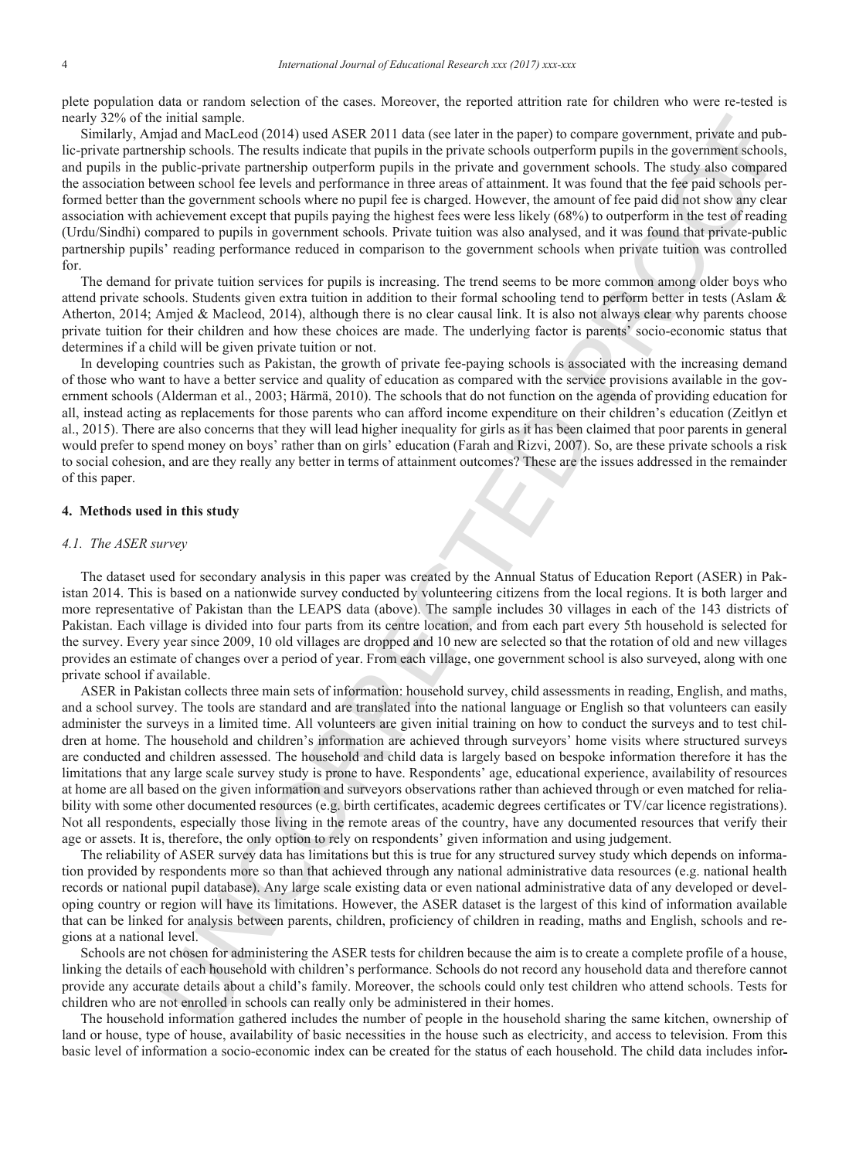plete population data or random selection of the cases. Moreover, the reported attrition rate for children who were re-tested is nearly 32% of the initial sample.

Similarly, Amjad and MacLeod (2014) used ASER 2011 data (see later in the paper) to compare government, private and public-private partnership schools. The results indicate that pupils in the private schools outperform pupils in the government schools, and pupils in the public-private partnership outperform pupils in the private and government schools. The study also compared the association between school fee levels and performance in three areas of attainment. It was found that the fee paid schools performed better than the government schools where no pupil fee is charged. However, the amount of fee paid did not show any clear association with achievement except that pupils paying the highest fees were less likely (68%) to outperform in the test of reading (Urdu/Sindhi) compared to pupils in government schools. Private tuition was also analysed, and it was found that private-public partnership pupils' reading performance reduced in comparison to the government schools when private tuition was controlled for.

The demand for private tuition services for pupils is increasing. The trend seems to be more common among older boys who attend private schools. Students given extra tuition in addition to their formal schooling tend to perform better in tests (Aslam & Atherton, 2014; Amjed & Macleod, 2014), although there is no clear causal link. It is also not always clear why parents choose private tuition for their children and how these choices are made. The underlying factor is parents' socio-economic status that determines if a child will be given private tuition or not.

In developing countries such as Pakistan, the growth of private fee-paying schools is associated with the increasing demand of those who want to have a better service and quality of education as compared with the service provisions available in the government schools (Alderman et al., 2003; Härmä, 2010). The schools that do not function on the agenda of providing education for all, instead acting as replacements for those parents who can afford income expenditure on their children's education (Zeitlyn et al., 2015). There are also concerns that they will lead higher inequality for girls as it has been claimed that poor parents in general would prefer to spend money on boys' rather than on girls' education (Farah and Rizvi, 2007). So, are these private schools a risk to social cohesion, and are they really any better in terms of attainment outcomes? These are the issues addressed in the remainder of this paper.

## **4. Methods used in this study**

## *4.1. The ASER survey*

The dataset used for secondary analysis in this paper was created by the Annual Status of Education Report (ASER) in Pakistan 2014. This is based on a nationwide survey conducted by volunteering citizens from the local regions. It is both larger and more representative of Pakistan than the LEAPS data (above). The sample includes 30 villages in each of the 143 districts of Pakistan. Each village is divided into four parts from its centre location, and from each part every 5th household is selected for the survey. Every year since 2009, 10 old villages are dropped and 10 new are selected so that the rotation of old and new villages provides an estimate of changes over a period of year. From each village, one government school is also surveyed, along with one private school if available.

indicisme the content of the state 2011 dilute (accletion for the respect to compare positions. Provide and policies and properties and properties and properties and properties and properties and properties and properties ASER in Pakistan collects three main sets of information: household survey, child assessments in reading, English, and maths, and a school survey. The tools are standard and are translated into the national language or English so that volunteers can easily administer the surveys in a limited time. All volunteers are given initial training on how to conduct the surveys and to test children at home. The household and children's information are achieved through surveyors' home visits where structured surveys are conducted and children assessed. The household and child data is largely based on bespoke information therefore it has the limitations that any large scale survey study is prone to have. Respondents' age, educational experience, availability of resources at home are all based on the given information and surveyors observations rather than achieved through or even matched for reliability with some other documented resources (e.g. birth certificates, academic degrees certificates or TV/car licence registrations). Not all respondents, especially those living in the remote areas of the country, have any documented resources that verify their age or assets. It is, therefore, the only option to rely on respondents' given information and using judgement.

The reliability of ASER survey data has limitations but this is true for any structured survey study which depends on information provided by respondents more so than that achieved through any national administrative data resources (e.g. national health records or national pupil database). Any large scale existing data or even national administrative data of any developed or developing country or region will have its limitations. However, the ASER dataset is the largest of this kind of information available that can be linked for analysis between parents, children, proficiency of children in reading, maths and English, schools and regions at a national level.

Schools are not chosen for administering the ASER tests for children because the aim is to create a complete profile of a house, linking the details of each household with children's performance. Schools do not record any household data and therefore cannot provide any accurate details about a child's family. Moreover, the schools could only test children who attend schools. Tests for children who are not enrolled in schools can really only be administered in their homes.

The household information gathered includes the number of people in the household sharing the same kitchen, ownership of land or house, type of house, availability of basic necessities in the house such as electricity, and access to television. From this basic level of information a socio-economic index can be created for the status of each household. The child data includes infor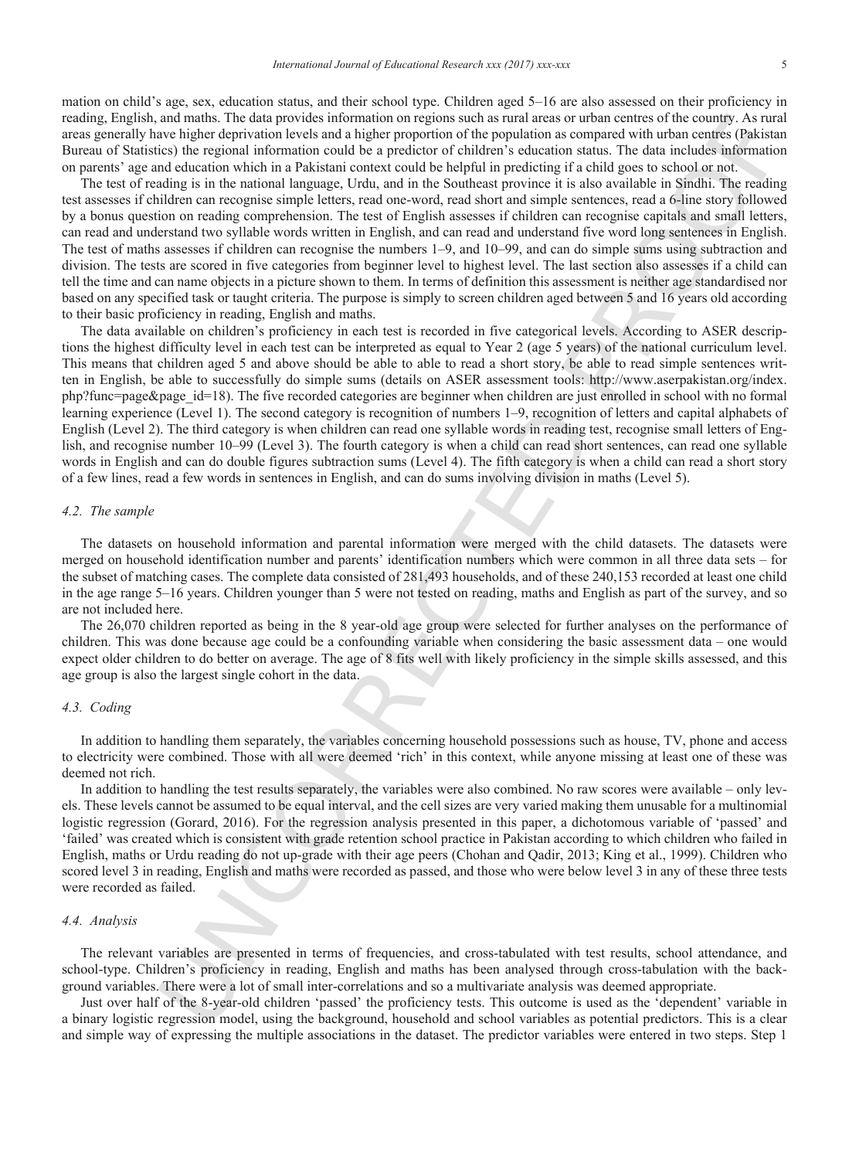mation on child's age, sex, education status, and their school type. Children aged 5–16 are also assessed on their proficiency in reading, English, and maths. The data provides information on regions such as rural areas or urban centres of the country. As rural areas generally have higher deprivation levels and a higher proportion of the population as compared with urban centres (Pakistan Bureau of Statistics) the regional information could be a predictor of children's education status. The data includes information on parents' age and education which in a Pakistani context could be helpful in predicting if a child goes to school or not.

The test of reading is in the national language, Urdu, and in the Southeast province it is also available in Sindhi. The reading test assesses if children can recognise simple letters, read one-word, read short and simple sentences, read a 6-line story followed by a bonus question on reading comprehension. The test of English assesses if children can recognise capitals and small letters, can read and understand two syllable words written in English, and can read and understand five word long sentences in English. The test of maths assesses if children can recognise the numbers 1–9, and 10–99, and can do simple sums using subtraction and division. The tests are scored in five categories from beginner level to highest level. The last section also assesses if a child can tell the time and can name objects in a picture shown to them. In terms of definition this assessment is neither age standardised nor based on any specified task or taught criteria. The purpose is simply to screen children aged between 5 and 16 years old according to their basic proficiency in reading, English and maths.

and maths. The data provides information on regions seds as rand access of unknown the data computer of the change Are also the state of the change of the change of the change of the change of the change of the change of The data available on children's proficiency in each test is recorded in five categorical levels. According to ASER descriptions the highest difficulty level in each test can be interpreted as equal to Year 2 (age 5 years) of the national curriculum level. This means that children aged 5 and above should be able to able to read a short story, be able to read simple sentences written in English, be able to successfully do simple sums (details on ASER assessment tools: http://www.aserpakistan.org/index. php?func=page&page\_id=18). The five recorded categories are beginner when children are just enrolled in school with no formal learning experience (Level 1). The second category is recognition of numbers 1–9, recognition of letters and capital alphabets of English (Level 2). The third category is when children can read one syllable words in reading test, recognise small letters of English, and recognise number 10–99 (Level 3). The fourth category is when a child can read short sentences, can read one syllable words in English and can do double figures subtraction sums (Level 4). The fifth category is when a child can read a short story of a few lines, read a few words in sentences in English, and can do sums involving division in maths (Level 5).

## *4.2. The sample*

The datasets on household information and parental information were merged with the child datasets. The datasets were merged on household identification number and parents' identification numbers which were common in all three data sets – for the subset of matching cases. The complete data consisted of 281,493 households, and of these 240,153 recorded at least one child in the age range 5–16 years. Children younger than 5 were not tested on reading, maths and English as part of the survey, and so are not included here.

The 26,070 children reported as being in the 8 year-old age group were selected for further analyses on the performance of children. This was done because age could be a confounding variable when considering the basic assessment data – one would expect older children to do better on average. The age of 8 fits well with likely proficiency in the simple skills assessed, and this age group is also the largest single cohort in the data.

## *4.3. Coding*

In addition to handling them separately, the variables concerning household possessions such as house, TV, phone and access to electricity were combined. Those with all were deemed 'rich' in this context, while anyone missing at least one of these was deemed not rich.

In addition to handling the test results separately, the variables were also combined. No raw scores were available – only levels. These levels cannot be assumed to be equal interval, and the cell sizes are very varied making them unusable for a multinomial logistic regression (Gorard, 2016). For the regression analysis presented in this paper, a dichotomous variable of 'passed' and 'failed' was created which is consistent with grade retention school practice in Pakistan according to which children who failed in English, maths or Urdu reading do not up-grade with their age peers (Chohan and Qadir, 2013; King et al., 1999). Children who scored level 3 in reading, English and maths were recorded as passed, and those who were below level 3 in any of these three tests were recorded as failed.

## *4.4. Analysis*

The relevant variables are presented in terms of frequencies, and cross-tabulated with test results, school attendance, and school-type. Children's proficiency in reading, English and maths has been analysed through cross-tabulation with the background variables. There were a lot of small inter-correlations and so a multivariate analysis was deemed appropriate.

Just over half of the 8-year-old children 'passed' the proficiency tests. This outcome is used as the 'dependent' variable in a binary logistic regression model, using the background, household and school variables as potential predictors. This is a clear and simple way of expressing the multiple associations in the dataset. The predictor variables were entered in two steps. Step 1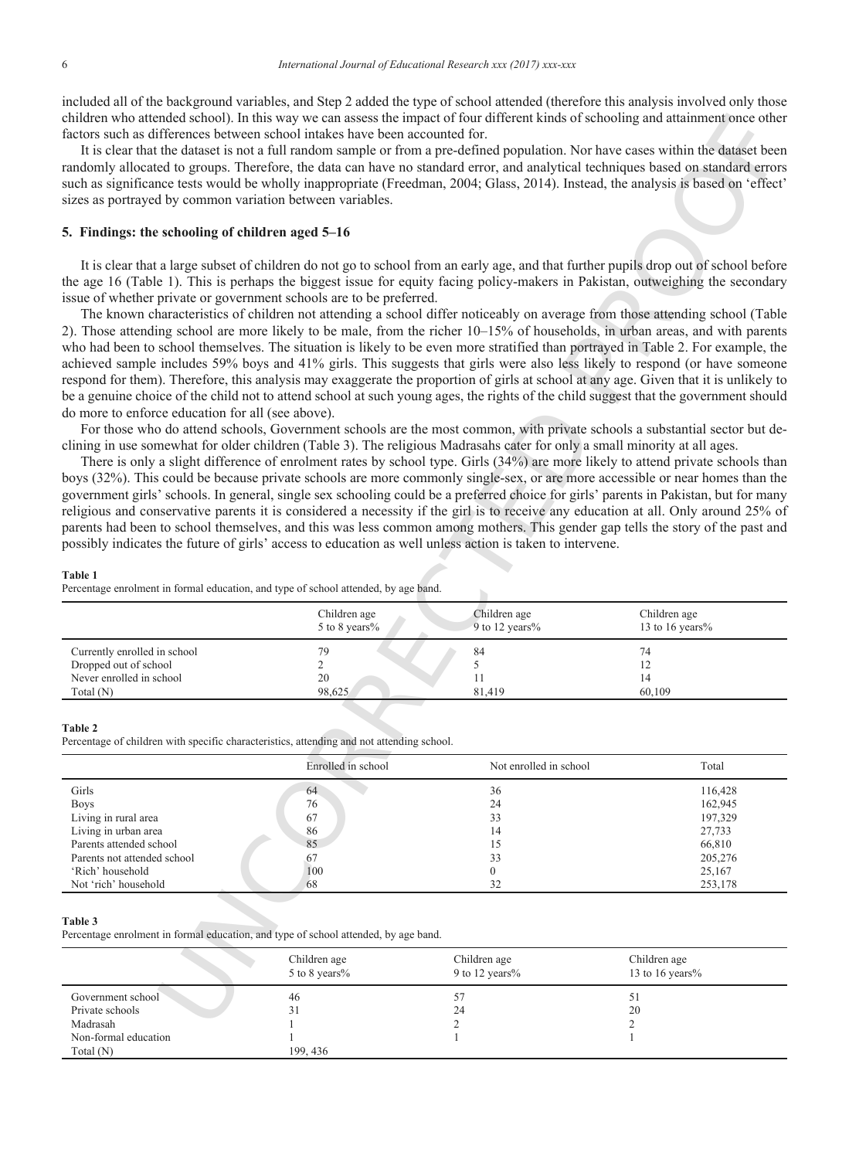included all of the background variables, and Step 2 added the type of school attended (therefore this analysis involved only those children who attended school). In this way we can assess the impact of four different kinds of schooling and attainment once other factors such as differences between school intakes have been accounted for.

## **5. Findings: the schooling of children aged 5–16**

#### **Table 1**

|                                                       | Children age<br>5 to 8 years% | Children age<br>9 to 12 years% | Children age<br>13 to 16 years% |
|-------------------------------------------------------|-------------------------------|--------------------------------|---------------------------------|
| Currently enrolled in school<br>Dropped out of school | 79                            | 84                             | 74                              |
| Never enrolled in school                              | 20                            |                                | 14                              |
| Total $(N)$                                           | 98,625                        | 81.419                         | 60.109                          |

#### **Table 2**

| factors such as differences between school intakes have been accounted for.                                                                                                                                                |                               | children who attended school). In this way we can assess the impact of four different kinds of schooling and attainment once other<br>It is clear that the dataset is not a full random sample or from a pre-defined population. Nor have cases within the dataset been<br>randomly allocated to groups. Therefore, the data can have no standard error, and analytical techniques based on standard errors                                                                                                                                                                                                                                                                                                                                                                                                                                                                                                                                                                                                                                                                                                                                                                                                                                                                                                                                                                                                                                                                                                                                                                                                                                                                                                                                                                                                                                                                                                                                                                                                                                                                                                                                              |                                 |
|----------------------------------------------------------------------------------------------------------------------------------------------------------------------------------------------------------------------------|-------------------------------|----------------------------------------------------------------------------------------------------------------------------------------------------------------------------------------------------------------------------------------------------------------------------------------------------------------------------------------------------------------------------------------------------------------------------------------------------------------------------------------------------------------------------------------------------------------------------------------------------------------------------------------------------------------------------------------------------------------------------------------------------------------------------------------------------------------------------------------------------------------------------------------------------------------------------------------------------------------------------------------------------------------------------------------------------------------------------------------------------------------------------------------------------------------------------------------------------------------------------------------------------------------------------------------------------------------------------------------------------------------------------------------------------------------------------------------------------------------------------------------------------------------------------------------------------------------------------------------------------------------------------------------------------------------------------------------------------------------------------------------------------------------------------------------------------------------------------------------------------------------------------------------------------------------------------------------------------------------------------------------------------------------------------------------------------------------------------------------------------------------------------------------------------------|---------------------------------|
| sizes as portrayed by common variation between variables.                                                                                                                                                                  |                               | such as significance tests would be wholly inappropriate (Freedman, 2004; Glass, 2014). Instead, the analysis is based on 'effect'                                                                                                                                                                                                                                                                                                                                                                                                                                                                                                                                                                                                                                                                                                                                                                                                                                                                                                                                                                                                                                                                                                                                                                                                                                                                                                                                                                                                                                                                                                                                                                                                                                                                                                                                                                                                                                                                                                                                                                                                                       |                                 |
| 5. Findings: the schooling of children aged 5-16                                                                                                                                                                           |                               |                                                                                                                                                                                                                                                                                                                                                                                                                                                                                                                                                                                                                                                                                                                                                                                                                                                                                                                                                                                                                                                                                                                                                                                                                                                                                                                                                                                                                                                                                                                                                                                                                                                                                                                                                                                                                                                                                                                                                                                                                                                                                                                                                          |                                 |
| issue of whether private or government schools are to be preferred.<br>do more to enforce education for all (see above).<br>Table 1<br>Percentage enrolment in formal education, and type of school attended, by age band. |                               | It is clear that a large subset of children do not go to school from an early age, and that further pupils drop out of school before<br>the age 16 (Table 1). This is perhaps the biggest issue for equity facing policy-makers in Pakistan, outweighing the secondary<br>The known characteristics of children not attending a school differ noticeably on average from those attending school (Table<br>2). Those attending school are more likely to be male, from the richer 10–15% of households, in urban areas, and with parents<br>who had been to school themselves. The situation is likely to be even more stratified than portrayed in Table 2. For example, the<br>achieved sample includes 59% boys and 41% girls. This suggests that girls were also less likely to respond (or have someone<br>respond for them). Therefore, this analysis may exaggerate the proportion of girls at school at any age. Given that it is unlikely to<br>be a genuine choice of the child not to attend school at such young ages, the rights of the child suggest that the government should<br>For those who do attend schools, Government schools are the most common, with private schools a substantial sector but de-<br>clining in use somewhat for older children (Table 3). The religious Madrasahs cater for only a small minority at all ages.<br>There is only a slight difference of enrolment rates by school type. Girls (34%) are more likely to attend private schools than<br>boys (32%). This could be because private schools are more commonly single-sex, or are more accessible or near homes than the<br>government girls' schools. In general, single sex schooling could be a preferred choice for girls' parents in Pakistan, but for many<br>religious and conservative parents it is considered a necessity if the girl is to receive any education at all. Only around 25% of<br>parents had been to school themselves, and this was less common among mothers. This gender gap tells the story of the past and<br>possibly indicates the future of girls' access to education as well unless action is taken to intervene. |                                 |
|                                                                                                                                                                                                                            | Children age<br>5 to 8 years% | Children age<br>9 to 12 years%                                                                                                                                                                                                                                                                                                                                                                                                                                                                                                                                                                                                                                                                                                                                                                                                                                                                                                                                                                                                                                                                                                                                                                                                                                                                                                                                                                                                                                                                                                                                                                                                                                                                                                                                                                                                                                                                                                                                                                                                                                                                                                                           | Children age<br>13 to 16 years% |
| Currently enrolled in school                                                                                                                                                                                               | 79                            | 84                                                                                                                                                                                                                                                                                                                                                                                                                                                                                                                                                                                                                                                                                                                                                                                                                                                                                                                                                                                                                                                                                                                                                                                                                                                                                                                                                                                                                                                                                                                                                                                                                                                                                                                                                                                                                                                                                                                                                                                                                                                                                                                                                       | 74                              |
| Dropped out of school<br>Never enrolled in school                                                                                                                                                                          | $\overline{c}$<br>20          | 5<br>11                                                                                                                                                                                                                                                                                                                                                                                                                                                                                                                                                                                                                                                                                                                                                                                                                                                                                                                                                                                                                                                                                                                                                                                                                                                                                                                                                                                                                                                                                                                                                                                                                                                                                                                                                                                                                                                                                                                                                                                                                                                                                                                                                  | 12<br>14                        |
| Total (N)                                                                                                                                                                                                                  | 98,625                        | 81,419                                                                                                                                                                                                                                                                                                                                                                                                                                                                                                                                                                                                                                                                                                                                                                                                                                                                                                                                                                                                                                                                                                                                                                                                                                                                                                                                                                                                                                                                                                                                                                                                                                                                                                                                                                                                                                                                                                                                                                                                                                                                                                                                                   | 60,109                          |
| Table 2<br>Percentage of children with specific characteristics, attending and not attending school.                                                                                                                       |                               |                                                                                                                                                                                                                                                                                                                                                                                                                                                                                                                                                                                                                                                                                                                                                                                                                                                                                                                                                                                                                                                                                                                                                                                                                                                                                                                                                                                                                                                                                                                                                                                                                                                                                                                                                                                                                                                                                                                                                                                                                                                                                                                                                          |                                 |
|                                                                                                                                                                                                                            | Enrolled in school            | Not enrolled in school                                                                                                                                                                                                                                                                                                                                                                                                                                                                                                                                                                                                                                                                                                                                                                                                                                                                                                                                                                                                                                                                                                                                                                                                                                                                                                                                                                                                                                                                                                                                                                                                                                                                                                                                                                                                                                                                                                                                                                                                                                                                                                                                   | Total                           |
| Girls                                                                                                                                                                                                                      | 64                            | 36                                                                                                                                                                                                                                                                                                                                                                                                                                                                                                                                                                                                                                                                                                                                                                                                                                                                                                                                                                                                                                                                                                                                                                                                                                                                                                                                                                                                                                                                                                                                                                                                                                                                                                                                                                                                                                                                                                                                                                                                                                                                                                                                                       | 116,428                         |
| <b>Boys</b>                                                                                                                                                                                                                | 76                            | 24                                                                                                                                                                                                                                                                                                                                                                                                                                                                                                                                                                                                                                                                                                                                                                                                                                                                                                                                                                                                                                                                                                                                                                                                                                                                                                                                                                                                                                                                                                                                                                                                                                                                                                                                                                                                                                                                                                                                                                                                                                                                                                                                                       | 162,945                         |
| Living in rural area<br>Living in urban area                                                                                                                                                                               | 67<br>86                      | 33<br>14                                                                                                                                                                                                                                                                                                                                                                                                                                                                                                                                                                                                                                                                                                                                                                                                                                                                                                                                                                                                                                                                                                                                                                                                                                                                                                                                                                                                                                                                                                                                                                                                                                                                                                                                                                                                                                                                                                                                                                                                                                                                                                                                                 | 197,329<br>27,733               |
| Parents attended school                                                                                                                                                                                                    | 85                            | 15                                                                                                                                                                                                                                                                                                                                                                                                                                                                                                                                                                                                                                                                                                                                                                                                                                                                                                                                                                                                                                                                                                                                                                                                                                                                                                                                                                                                                                                                                                                                                                                                                                                                                                                                                                                                                                                                                                                                                                                                                                                                                                                                                       | 66,810                          |
| Parents not attended school                                                                                                                                                                                                | 67                            | 33                                                                                                                                                                                                                                                                                                                                                                                                                                                                                                                                                                                                                                                                                                                                                                                                                                                                                                                                                                                                                                                                                                                                                                                                                                                                                                                                                                                                                                                                                                                                                                                                                                                                                                                                                                                                                                                                                                                                                                                                                                                                                                                                                       | 205,276                         |
| 'Rich' household                                                                                                                                                                                                           | 100                           | $\mathbf{0}$                                                                                                                                                                                                                                                                                                                                                                                                                                                                                                                                                                                                                                                                                                                                                                                                                                                                                                                                                                                                                                                                                                                                                                                                                                                                                                                                                                                                                                                                                                                                                                                                                                                                                                                                                                                                                                                                                                                                                                                                                                                                                                                                             | 25,167                          |
| Not 'rich' household                                                                                                                                                                                                       | 68                            | 32                                                                                                                                                                                                                                                                                                                                                                                                                                                                                                                                                                                                                                                                                                                                                                                                                                                                                                                                                                                                                                                                                                                                                                                                                                                                                                                                                                                                                                                                                                                                                                                                                                                                                                                                                                                                                                                                                                                                                                                                                                                                                                                                                       | 253,178                         |
| Table 3<br>Percentage enrolment in formal education, and type of school attended, by age band.                                                                                                                             |                               |                                                                                                                                                                                                                                                                                                                                                                                                                                                                                                                                                                                                                                                                                                                                                                                                                                                                                                                                                                                                                                                                                                                                                                                                                                                                                                                                                                                                                                                                                                                                                                                                                                                                                                                                                                                                                                                                                                                                                                                                                                                                                                                                                          |                                 |
|                                                                                                                                                                                                                            | Children age                  | Children age                                                                                                                                                                                                                                                                                                                                                                                                                                                                                                                                                                                                                                                                                                                                                                                                                                                                                                                                                                                                                                                                                                                                                                                                                                                                                                                                                                                                                                                                                                                                                                                                                                                                                                                                                                                                                                                                                                                                                                                                                                                                                                                                             | Children age                    |
|                                                                                                                                                                                                                            | 5 to 8 years%                 | 9 to 12 years%                                                                                                                                                                                                                                                                                                                                                                                                                                                                                                                                                                                                                                                                                                                                                                                                                                                                                                                                                                                                                                                                                                                                                                                                                                                                                                                                                                                                                                                                                                                                                                                                                                                                                                                                                                                                                                                                                                                                                                                                                                                                                                                                           | 13 to 16 years%                 |
| Government school                                                                                                                                                                                                          | 46                            | 57                                                                                                                                                                                                                                                                                                                                                                                                                                                                                                                                                                                                                                                                                                                                                                                                                                                                                                                                                                                                                                                                                                                                                                                                                                                                                                                                                                                                                                                                                                                                                                                                                                                                                                                                                                                                                                                                                                                                                                                                                                                                                                                                                       | 51                              |
| Private schools                                                                                                                                                                                                            | 31                            | 24<br>$\mathfrak{D}$                                                                                                                                                                                                                                                                                                                                                                                                                                                                                                                                                                                                                                                                                                                                                                                                                                                                                                                                                                                                                                                                                                                                                                                                                                                                                                                                                                                                                                                                                                                                                                                                                                                                                                                                                                                                                                                                                                                                                                                                                                                                                                                                     | 20                              |
| Madrasah                                                                                                                                                                                                                   |                               |                                                                                                                                                                                                                                                                                                                                                                                                                                                                                                                                                                                                                                                                                                                                                                                                                                                                                                                                                                                                                                                                                                                                                                                                                                                                                                                                                                                                                                                                                                                                                                                                                                                                                                                                                                                                                                                                                                                                                                                                                                                                                                                                                          | $\mathcal{D}$                   |

#### **Table 3**

|                      | Children age<br>5 to 8 years% | Children age<br>9 to 12 years% | Children age<br>13 to 16 years% |
|----------------------|-------------------------------|--------------------------------|---------------------------------|
| Government school    | 46                            |                                | JІ                              |
| Private schools      | 31                            | 24                             | 20                              |
| Madrasah             |                               |                                |                                 |
| Non-formal education |                               |                                |                                 |
| Total $(N)$          | 199.436                       |                                |                                 |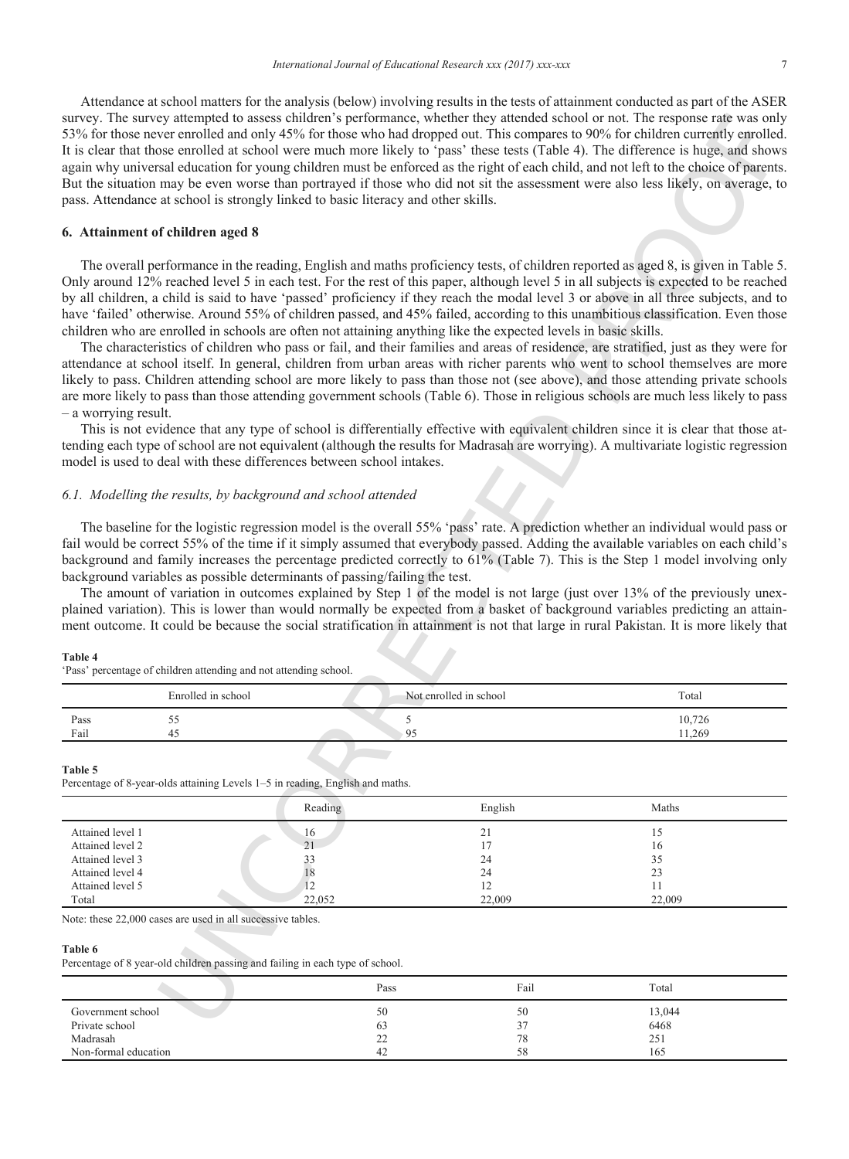Attendance at school matters for the analysis (below) involving results in the tests of attainment conducted as part of the ASER survey. The survey attempted to assess children's performance, whether they attended school or not. The response rate was only 53% for those never enrolled and only 45% for those who had dropped out. This compares to 90% for children currently enrolled. It is clear that those enrolled at school were much more likely to 'pass' these tests (Table 4). The difference is huge, and shows again why universal education for young children must be enforced as the right of each child, and not left to the choice of parents. But the situation may be even worse than portrayed if those who did not sit the assessment were also less likely, on average, to pass. Attendance at school is strongly linked to basic literacy and other skills.

## **6. Attainment of children aged 8**

## *6.1. Modelling the results, by background and school attended*

#### **Table 4**

|      | Enrolled in school | Not enrolled in school | Total  |
|------|--------------------|------------------------|--------|
| Pass | ں ں                |                        | 10,726 |
| Fail | 45                 | u٠                     | 11.269 |

#### **Table 5**

| pass. Attendance at school is strongly linked to basic literacy and other skills.                                                                                                                                                                                                                                                                                                                                                              |                                      |          |                                      | survey. The survey attempted to assess children's performance, whether they attended school or not. The response rate was only<br>53% for those never enrolled and only 45% for those who had dropped out. This compares to 90% for children currently enrolled.<br>It is clear that those enrolled at school were much more likely to 'pass' these tests (Table 4). The difference is huge, and shows<br>again why universal education for young children must be enforced as the right of each child, and not left to the choice of parents.<br>But the situation may be even worse than portrayed if those who did not sit the assessment were also less likely, on average, to                                                                                                                                                                                                                                                                                                                                                                                                                                                                                                                                                                                                                                                                                                                                                                                                                                                                                                                                                                                                                                                                                                                                                                                                                                                                                                                                                                                                                                                                                                                |  |
|------------------------------------------------------------------------------------------------------------------------------------------------------------------------------------------------------------------------------------------------------------------------------------------------------------------------------------------------------------------------------------------------------------------------------------------------|--------------------------------------|----------|--------------------------------------|---------------------------------------------------------------------------------------------------------------------------------------------------------------------------------------------------------------------------------------------------------------------------------------------------------------------------------------------------------------------------------------------------------------------------------------------------------------------------------------------------------------------------------------------------------------------------------------------------------------------------------------------------------------------------------------------------------------------------------------------------------------------------------------------------------------------------------------------------------------------------------------------------------------------------------------------------------------------------------------------------------------------------------------------------------------------------------------------------------------------------------------------------------------------------------------------------------------------------------------------------------------------------------------------------------------------------------------------------------------------------------------------------------------------------------------------------------------------------------------------------------------------------------------------------------------------------------------------------------------------------------------------------------------------------------------------------------------------------------------------------------------------------------------------------------------------------------------------------------------------------------------------------------------------------------------------------------------------------------------------------------------------------------------------------------------------------------------------------------------------------------------------------------------------------------------------------|--|
| 6. Attainment of children aged 8                                                                                                                                                                                                                                                                                                                                                                                                               |                                      |          |                                      |                                                                                                                                                                                                                                                                                                                                                                                                                                                                                                                                                                                                                                                                                                                                                                                                                                                                                                                                                                                                                                                                                                                                                                                                                                                                                                                                                                                                                                                                                                                                                                                                                                                                                                                                                                                                                                                                                                                                                                                                                                                                                                                                                                                                   |  |
| children who are enrolled in schools are often not attaining anything like the expected levels in basic skills.<br>- a worrying result.<br>model is used to deal with these differences between school intakes.<br>6.1. Modelling the results, by background and school attended<br>background variables as possible determinants of passing/failing the test.<br>Table 4<br>'Pass' percentage of children attending and not attending school. |                                      |          |                                      | The overall performance in the reading, English and maths proficiency tests, of children reported as aged 8, is given in Table 5.<br>Only around 12% reached level 5 in each test. For the rest of this paper, although level 5 in all subjects is expected to be reached<br>by all children, a child is said to have 'passed' proficiency if they reach the modal level 3 or above in all three subjects, and to<br>have 'failed' otherwise. Around 55% of children passed, and 45% failed, according to this unambitious classification. Even those<br>The characteristics of children who pass or fail, and their families and areas of residence, are stratified, just as they were for<br>attendance at school itself. In general, children from urban areas with richer parents who went to school themselves are more<br>likely to pass. Children attending school are more likely to pass than those not (see above), and those attending private schools<br>are more likely to pass than those attending government schools (Table 6). Those in religious schools are much less likely to pass<br>This is not evidence that any type of school is differentially effective with equivalent children since it is clear that those at-<br>tending each type of school are not equivalent (although the results for Madrasah are worrying). A multivariate logistic regression<br>The baseline for the logistic regression model is the overall 55% 'pass' rate. A prediction whether an individual would pass or<br>fail would be correct 55% of the time if it simply assumed that everybody passed. Adding the available variables on each child's<br>background and family increases the percentage predicted correctly to 61% (Table 7). This is the Step 1 model involving only<br>The amount of variation in outcomes explained by Step 1 of the model is not large (just over 13% of the previously unex-<br>plained variation). This is lower than would normally be expected from a basket of background variables predicting an attain-<br>ment outcome. It could be because the social stratification in attainment is not that large in rural Pakistan. It is more likely that |  |
| Enrolled in school                                                                                                                                                                                                                                                                                                                                                                                                                             |                                      |          | Not enrolled in school               | Total                                                                                                                                                                                                                                                                                                                                                                                                                                                                                                                                                                                                                                                                                                                                                                                                                                                                                                                                                                                                                                                                                                                                                                                                                                                                                                                                                                                                                                                                                                                                                                                                                                                                                                                                                                                                                                                                                                                                                                                                                                                                                                                                                                                             |  |
| 55<br>Pass<br>Fail<br>45                                                                                                                                                                                                                                                                                                                                                                                                                       |                                      | 5<br>95  |                                      | 10,726<br>11,269                                                                                                                                                                                                                                                                                                                                                                                                                                                                                                                                                                                                                                                                                                                                                                                                                                                                                                                                                                                                                                                                                                                                                                                                                                                                                                                                                                                                                                                                                                                                                                                                                                                                                                                                                                                                                                                                                                                                                                                                                                                                                                                                                                                  |  |
| Table 5<br>Percentage of 8-year-olds attaining Levels 1–5 in reading, English and maths.                                                                                                                                                                                                                                                                                                                                                       | Reading                              |          | English                              | Maths                                                                                                                                                                                                                                                                                                                                                                                                                                                                                                                                                                                                                                                                                                                                                                                                                                                                                                                                                                                                                                                                                                                                                                                                                                                                                                                                                                                                                                                                                                                                                                                                                                                                                                                                                                                                                                                                                                                                                                                                                                                                                                                                                                                             |  |
| Attained level 1<br>Attained level 2<br>Attained level 3<br>Attained level 4<br>Attained level 5<br>Total<br>Note: these 22,000 cases are used in all successive tables.                                                                                                                                                                                                                                                                       | 16<br>21<br>33<br>18<br>12<br>22,052 |          | 21<br>17<br>24<br>24<br>12<br>22,009 | 15<br>16<br>35<br>23<br>11<br>22,009                                                                                                                                                                                                                                                                                                                                                                                                                                                                                                                                                                                                                                                                                                                                                                                                                                                                                                                                                                                                                                                                                                                                                                                                                                                                                                                                                                                                                                                                                                                                                                                                                                                                                                                                                                                                                                                                                                                                                                                                                                                                                                                                                              |  |
| Table 6<br>Percentage of 8 year-old children passing and failing in each type of school.                                                                                                                                                                                                                                                                                                                                                       |                                      |          |                                      |                                                                                                                                                                                                                                                                                                                                                                                                                                                                                                                                                                                                                                                                                                                                                                                                                                                                                                                                                                                                                                                                                                                                                                                                                                                                                                                                                                                                                                                                                                                                                                                                                                                                                                                                                                                                                                                                                                                                                                                                                                                                                                                                                                                                   |  |
|                                                                                                                                                                                                                                                                                                                                                                                                                                                |                                      | Pass     | Fail                                 | Total                                                                                                                                                                                                                                                                                                                                                                                                                                                                                                                                                                                                                                                                                                                                                                                                                                                                                                                                                                                                                                                                                                                                                                                                                                                                                                                                                                                                                                                                                                                                                                                                                                                                                                                                                                                                                                                                                                                                                                                                                                                                                                                                                                                             |  |
| Government school<br>Private school                                                                                                                                                                                                                                                                                                                                                                                                            |                                      | 50<br>63 | 50<br>37                             | 13,044<br>6468                                                                                                                                                                                                                                                                                                                                                                                                                                                                                                                                                                                                                                                                                                                                                                                                                                                                                                                                                                                                                                                                                                                                                                                                                                                                                                                                                                                                                                                                                                                                                                                                                                                                                                                                                                                                                                                                                                                                                                                                                                                                                                                                                                                    |  |

## **Table 6**

|                                                                         | Pass                           | Fail                 | Total                        |  |
|-------------------------------------------------------------------------|--------------------------------|----------------------|------------------------------|--|
| Government school<br>Private school<br>Madrasah<br>Non-formal education | 50<br>63<br>$\sim$<br>∸<br>-42 | 50<br>37<br>78<br>58 | 13,044<br>6468<br>251<br>165 |  |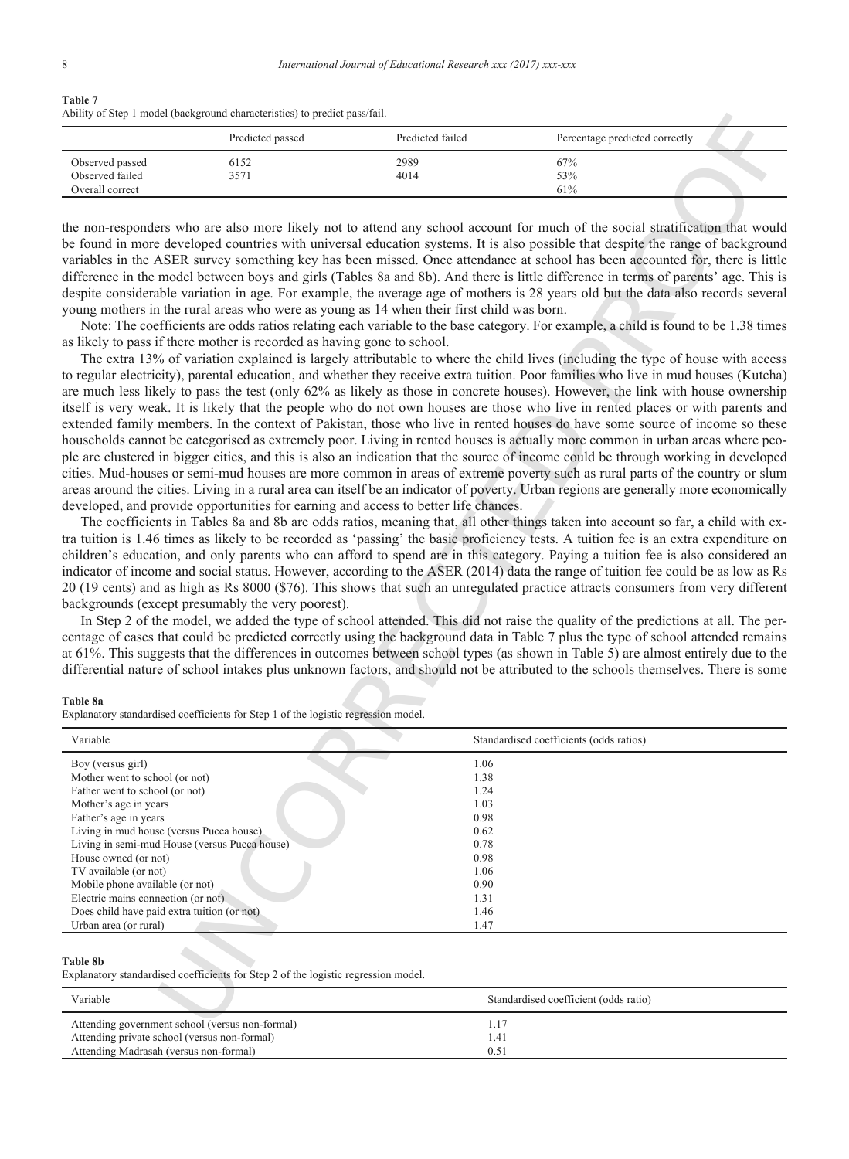### **Table 7** Ability of Step 1 model (background characteristics) to predict pass/fail.

|                                                       | Predicted passed | Predicted failed | Percentage predicted correctly |  |
|-------------------------------------------------------|------------------|------------------|--------------------------------|--|
| Observed passed<br>Observed failed<br>Overall correct | 6152<br>3571     | 2989<br>4014     | 67%<br>53%<br>61%              |  |

#### **Table 8a**

|                                                                  | Predicted passed                                                                                                                                                                                                                                                                                                                                                                                       | Predicted failed | Percentage predicted correctly                                                                                                                                                                                                                                                                                                                                                                                                                                                                                                                                                                                                                                                                                                                                                                                                                                                                                                                                                                                                                                                                                                                                                                                                                                                                                                                                                                                                                                                                                                                                                                                                                                                                                                                                                                                                                                                                                                                                                                                                                                                                                                                                                                                                                                                                                                                                                                                                                                                                                                                                                                                                                                                                                                                                                                                                                                                                                                                                                                                                                                                                                                                                                                                                                                                         |
|------------------------------------------------------------------|--------------------------------------------------------------------------------------------------------------------------------------------------------------------------------------------------------------------------------------------------------------------------------------------------------------------------------------------------------------------------------------------------------|------------------|----------------------------------------------------------------------------------------------------------------------------------------------------------------------------------------------------------------------------------------------------------------------------------------------------------------------------------------------------------------------------------------------------------------------------------------------------------------------------------------------------------------------------------------------------------------------------------------------------------------------------------------------------------------------------------------------------------------------------------------------------------------------------------------------------------------------------------------------------------------------------------------------------------------------------------------------------------------------------------------------------------------------------------------------------------------------------------------------------------------------------------------------------------------------------------------------------------------------------------------------------------------------------------------------------------------------------------------------------------------------------------------------------------------------------------------------------------------------------------------------------------------------------------------------------------------------------------------------------------------------------------------------------------------------------------------------------------------------------------------------------------------------------------------------------------------------------------------------------------------------------------------------------------------------------------------------------------------------------------------------------------------------------------------------------------------------------------------------------------------------------------------------------------------------------------------------------------------------------------------------------------------------------------------------------------------------------------------------------------------------------------------------------------------------------------------------------------------------------------------------------------------------------------------------------------------------------------------------------------------------------------------------------------------------------------------------------------------------------------------------------------------------------------------------------------------------------------------------------------------------------------------------------------------------------------------------------------------------------------------------------------------------------------------------------------------------------------------------------------------------------------------------------------------------------------------------------------------------------------------------------------------------------------------|
| Observed passed<br>Observed failed                               | 6152<br>3571                                                                                                                                                                                                                                                                                                                                                                                           | 2989<br>4014     | 67%<br>53%                                                                                                                                                                                                                                                                                                                                                                                                                                                                                                                                                                                                                                                                                                                                                                                                                                                                                                                                                                                                                                                                                                                                                                                                                                                                                                                                                                                                                                                                                                                                                                                                                                                                                                                                                                                                                                                                                                                                                                                                                                                                                                                                                                                                                                                                                                                                                                                                                                                                                                                                                                                                                                                                                                                                                                                                                                                                                                                                                                                                                                                                                                                                                                                                                                                                             |
| Overall correct                                                  |                                                                                                                                                                                                                                                                                                                                                                                                        |                  | 61%                                                                                                                                                                                                                                                                                                                                                                                                                                                                                                                                                                                                                                                                                                                                                                                                                                                                                                                                                                                                                                                                                                                                                                                                                                                                                                                                                                                                                                                                                                                                                                                                                                                                                                                                                                                                                                                                                                                                                                                                                                                                                                                                                                                                                                                                                                                                                                                                                                                                                                                                                                                                                                                                                                                                                                                                                                                                                                                                                                                                                                                                                                                                                                                                                                                                                    |
| Table 8a<br>Variable                                             | young mothers in the rural areas who were as young as 14 when their first child was born.<br>as likely to pass if there mother is recorded as having gone to school.<br>developed, and provide opportunities for earning and access to better life chances.<br>backgrounds (except presumably the very poorest).<br>Explanatory standardised coefficients for Step 1 of the logistic regression model. |                  | the non-responders who are also more likely not to attend any school account for much of the social stratification that would<br>be found in more developed countries with universal education systems. It is also possible that despite the range of background<br>variables in the ASER survey something key has been missed. Once attendance at school has been accounted for, there is little<br>difference in the model between boys and girls (Tables 8a and 8b). And there is little difference in terms of parents' age. This is<br>despite considerable variation in age. For example, the average age of mothers is 28 years old but the data also records several<br>Note: The coefficients are odds ratios relating each variable to the base category. For example, a child is found to be 1.38 times<br>The extra 13% of variation explained is largely attributable to where the child lives (including the type of house with access<br>to regular electricity), parental education, and whether they receive extra tuition. Poor families who live in mud houses (Kutcha)<br>are much less likely to pass the test (only 62% as likely as those in concrete houses). However, the link with house ownership<br>itself is very weak. It is likely that the people who do not own houses are those who live in rented places or with parents and<br>extended family members. In the context of Pakistan, those who live in rented houses do have some source of income so these<br>households cannot be categorised as extremely poor. Living in rented houses is actually more common in urban areas where peo-<br>ple are clustered in bigger cities, and this is also an indication that the source of income could be through working in developed<br>cities. Mud-houses or semi-mud houses are more common in areas of extreme poverty such as rural parts of the country or slum<br>areas around the cities. Living in a rural area can itself be an indicator of poverty. Urban regions are generally more economically<br>The coefficients in Tables 8a and 8b are odds ratios, meaning that, all other things taken into account so far, a child with ex-<br>tra tuition is 1.46 times as likely to be recorded as 'passing' the basic proficiency tests. A tuition fee is an extra expenditure on<br>children's education, and only parents who can afford to spend are in this category. Paying a tuition fee is also considered an<br>indicator of income and social status. However, according to the ASER (2014) data the range of tuition fee could be as low as Rs<br>20 (19 cents) and as high as Rs 8000 (\$76). This shows that such an unregulated practice attracts consumers from very different<br>In Step 2 of the model, we added the type of school attended. This did not raise the quality of the predictions at all. The per-<br>centage of cases that could be predicted correctly using the background data in Table 7 plus the type of school attended remains<br>at 61%. This suggests that the differences in outcomes between school types (as shown in Table 5) are almost entirely due to the<br>differential nature of school intakes plus unknown factors, and should not be attributed to the schools themselves. There is some |
|                                                                  |                                                                                                                                                                                                                                                                                                                                                                                                        |                  | Standardised coefficients (odds ratios)                                                                                                                                                                                                                                                                                                                                                                                                                                                                                                                                                                                                                                                                                                                                                                                                                                                                                                                                                                                                                                                                                                                                                                                                                                                                                                                                                                                                                                                                                                                                                                                                                                                                                                                                                                                                                                                                                                                                                                                                                                                                                                                                                                                                                                                                                                                                                                                                                                                                                                                                                                                                                                                                                                                                                                                                                                                                                                                                                                                                                                                                                                                                                                                                                                                |
|                                                                  |                                                                                                                                                                                                                                                                                                                                                                                                        |                  |                                                                                                                                                                                                                                                                                                                                                                                                                                                                                                                                                                                                                                                                                                                                                                                                                                                                                                                                                                                                                                                                                                                                                                                                                                                                                                                                                                                                                                                                                                                                                                                                                                                                                                                                                                                                                                                                                                                                                                                                                                                                                                                                                                                                                                                                                                                                                                                                                                                                                                                                                                                                                                                                                                                                                                                                                                                                                                                                                                                                                                                                                                                                                                                                                                                                                        |
| Boy (versus girl)                                                |                                                                                                                                                                                                                                                                                                                                                                                                        | 1.06             |                                                                                                                                                                                                                                                                                                                                                                                                                                                                                                                                                                                                                                                                                                                                                                                                                                                                                                                                                                                                                                                                                                                                                                                                                                                                                                                                                                                                                                                                                                                                                                                                                                                                                                                                                                                                                                                                                                                                                                                                                                                                                                                                                                                                                                                                                                                                                                                                                                                                                                                                                                                                                                                                                                                                                                                                                                                                                                                                                                                                                                                                                                                                                                                                                                                                                        |
| Mother went to school (or not)<br>Father went to school (or not) |                                                                                                                                                                                                                                                                                                                                                                                                        | 1.38<br>1.24     |                                                                                                                                                                                                                                                                                                                                                                                                                                                                                                                                                                                                                                                                                                                                                                                                                                                                                                                                                                                                                                                                                                                                                                                                                                                                                                                                                                                                                                                                                                                                                                                                                                                                                                                                                                                                                                                                                                                                                                                                                                                                                                                                                                                                                                                                                                                                                                                                                                                                                                                                                                                                                                                                                                                                                                                                                                                                                                                                                                                                                                                                                                                                                                                                                                                                                        |
| Mother's age in years                                            |                                                                                                                                                                                                                                                                                                                                                                                                        | 1.03             |                                                                                                                                                                                                                                                                                                                                                                                                                                                                                                                                                                                                                                                                                                                                                                                                                                                                                                                                                                                                                                                                                                                                                                                                                                                                                                                                                                                                                                                                                                                                                                                                                                                                                                                                                                                                                                                                                                                                                                                                                                                                                                                                                                                                                                                                                                                                                                                                                                                                                                                                                                                                                                                                                                                                                                                                                                                                                                                                                                                                                                                                                                                                                                                                                                                                                        |
| Father's age in years                                            |                                                                                                                                                                                                                                                                                                                                                                                                        | 0.98             |                                                                                                                                                                                                                                                                                                                                                                                                                                                                                                                                                                                                                                                                                                                                                                                                                                                                                                                                                                                                                                                                                                                                                                                                                                                                                                                                                                                                                                                                                                                                                                                                                                                                                                                                                                                                                                                                                                                                                                                                                                                                                                                                                                                                                                                                                                                                                                                                                                                                                                                                                                                                                                                                                                                                                                                                                                                                                                                                                                                                                                                                                                                                                                                                                                                                                        |
| Living in mud house (versus Pucca house)                         |                                                                                                                                                                                                                                                                                                                                                                                                        | 0.62             |                                                                                                                                                                                                                                                                                                                                                                                                                                                                                                                                                                                                                                                                                                                                                                                                                                                                                                                                                                                                                                                                                                                                                                                                                                                                                                                                                                                                                                                                                                                                                                                                                                                                                                                                                                                                                                                                                                                                                                                                                                                                                                                                                                                                                                                                                                                                                                                                                                                                                                                                                                                                                                                                                                                                                                                                                                                                                                                                                                                                                                                                                                                                                                                                                                                                                        |
| Living in semi-mud House (versus Pucca house)                    |                                                                                                                                                                                                                                                                                                                                                                                                        | 0.78             |                                                                                                                                                                                                                                                                                                                                                                                                                                                                                                                                                                                                                                                                                                                                                                                                                                                                                                                                                                                                                                                                                                                                                                                                                                                                                                                                                                                                                                                                                                                                                                                                                                                                                                                                                                                                                                                                                                                                                                                                                                                                                                                                                                                                                                                                                                                                                                                                                                                                                                                                                                                                                                                                                                                                                                                                                                                                                                                                                                                                                                                                                                                                                                                                                                                                                        |
| House owned (or not)                                             |                                                                                                                                                                                                                                                                                                                                                                                                        | 0.98             |                                                                                                                                                                                                                                                                                                                                                                                                                                                                                                                                                                                                                                                                                                                                                                                                                                                                                                                                                                                                                                                                                                                                                                                                                                                                                                                                                                                                                                                                                                                                                                                                                                                                                                                                                                                                                                                                                                                                                                                                                                                                                                                                                                                                                                                                                                                                                                                                                                                                                                                                                                                                                                                                                                                                                                                                                                                                                                                                                                                                                                                                                                                                                                                                                                                                                        |
| TV available (or not)                                            |                                                                                                                                                                                                                                                                                                                                                                                                        | 1.06             |                                                                                                                                                                                                                                                                                                                                                                                                                                                                                                                                                                                                                                                                                                                                                                                                                                                                                                                                                                                                                                                                                                                                                                                                                                                                                                                                                                                                                                                                                                                                                                                                                                                                                                                                                                                                                                                                                                                                                                                                                                                                                                                                                                                                                                                                                                                                                                                                                                                                                                                                                                                                                                                                                                                                                                                                                                                                                                                                                                                                                                                                                                                                                                                                                                                                                        |
| Mobile phone available (or not)                                  |                                                                                                                                                                                                                                                                                                                                                                                                        | 0.90             |                                                                                                                                                                                                                                                                                                                                                                                                                                                                                                                                                                                                                                                                                                                                                                                                                                                                                                                                                                                                                                                                                                                                                                                                                                                                                                                                                                                                                                                                                                                                                                                                                                                                                                                                                                                                                                                                                                                                                                                                                                                                                                                                                                                                                                                                                                                                                                                                                                                                                                                                                                                                                                                                                                                                                                                                                                                                                                                                                                                                                                                                                                                                                                                                                                                                                        |
| Electric mains connection (or not)                               |                                                                                                                                                                                                                                                                                                                                                                                                        | 1.31             |                                                                                                                                                                                                                                                                                                                                                                                                                                                                                                                                                                                                                                                                                                                                                                                                                                                                                                                                                                                                                                                                                                                                                                                                                                                                                                                                                                                                                                                                                                                                                                                                                                                                                                                                                                                                                                                                                                                                                                                                                                                                                                                                                                                                                                                                                                                                                                                                                                                                                                                                                                                                                                                                                                                                                                                                                                                                                                                                                                                                                                                                                                                                                                                                                                                                                        |
| Does child have paid extra tuition (or not)                      |                                                                                                                                                                                                                                                                                                                                                                                                        | 1.46             |                                                                                                                                                                                                                                                                                                                                                                                                                                                                                                                                                                                                                                                                                                                                                                                                                                                                                                                                                                                                                                                                                                                                                                                                                                                                                                                                                                                                                                                                                                                                                                                                                                                                                                                                                                                                                                                                                                                                                                                                                                                                                                                                                                                                                                                                                                                                                                                                                                                                                                                                                                                                                                                                                                                                                                                                                                                                                                                                                                                                                                                                                                                                                                                                                                                                                        |
| Urban area (or rural)                                            |                                                                                                                                                                                                                                                                                                                                                                                                        | 1.47             |                                                                                                                                                                                                                                                                                                                                                                                                                                                                                                                                                                                                                                                                                                                                                                                                                                                                                                                                                                                                                                                                                                                                                                                                                                                                                                                                                                                                                                                                                                                                                                                                                                                                                                                                                                                                                                                                                                                                                                                                                                                                                                                                                                                                                                                                                                                                                                                                                                                                                                                                                                                                                                                                                                                                                                                                                                                                                                                                                                                                                                                                                                                                                                                                                                                                                        |
| <b>Table 8b</b>                                                  | Explanatory standardised coefficients for Step 2 of the logistic regression model.                                                                                                                                                                                                                                                                                                                     |                  |                                                                                                                                                                                                                                                                                                                                                                                                                                                                                                                                                                                                                                                                                                                                                                                                                                                                                                                                                                                                                                                                                                                                                                                                                                                                                                                                                                                                                                                                                                                                                                                                                                                                                                                                                                                                                                                                                                                                                                                                                                                                                                                                                                                                                                                                                                                                                                                                                                                                                                                                                                                                                                                                                                                                                                                                                                                                                                                                                                                                                                                                                                                                                                                                                                                                                        |
| Variable                                                         |                                                                                                                                                                                                                                                                                                                                                                                                        |                  | Standardised coefficient (odds ratio)                                                                                                                                                                                                                                                                                                                                                                                                                                                                                                                                                                                                                                                                                                                                                                                                                                                                                                                                                                                                                                                                                                                                                                                                                                                                                                                                                                                                                                                                                                                                                                                                                                                                                                                                                                                                                                                                                                                                                                                                                                                                                                                                                                                                                                                                                                                                                                                                                                                                                                                                                                                                                                                                                                                                                                                                                                                                                                                                                                                                                                                                                                                                                                                                                                                  |

### **Table 8b**

| Variable                                                                                                                                  | Standardised coefficient (odds ratio) |
|-------------------------------------------------------------------------------------------------------------------------------------------|---------------------------------------|
| Attending government school (versus non-formal)<br>Attending private school (versus non-formal)<br>Attending Madrasah (versus non-formal) | 0.5                                   |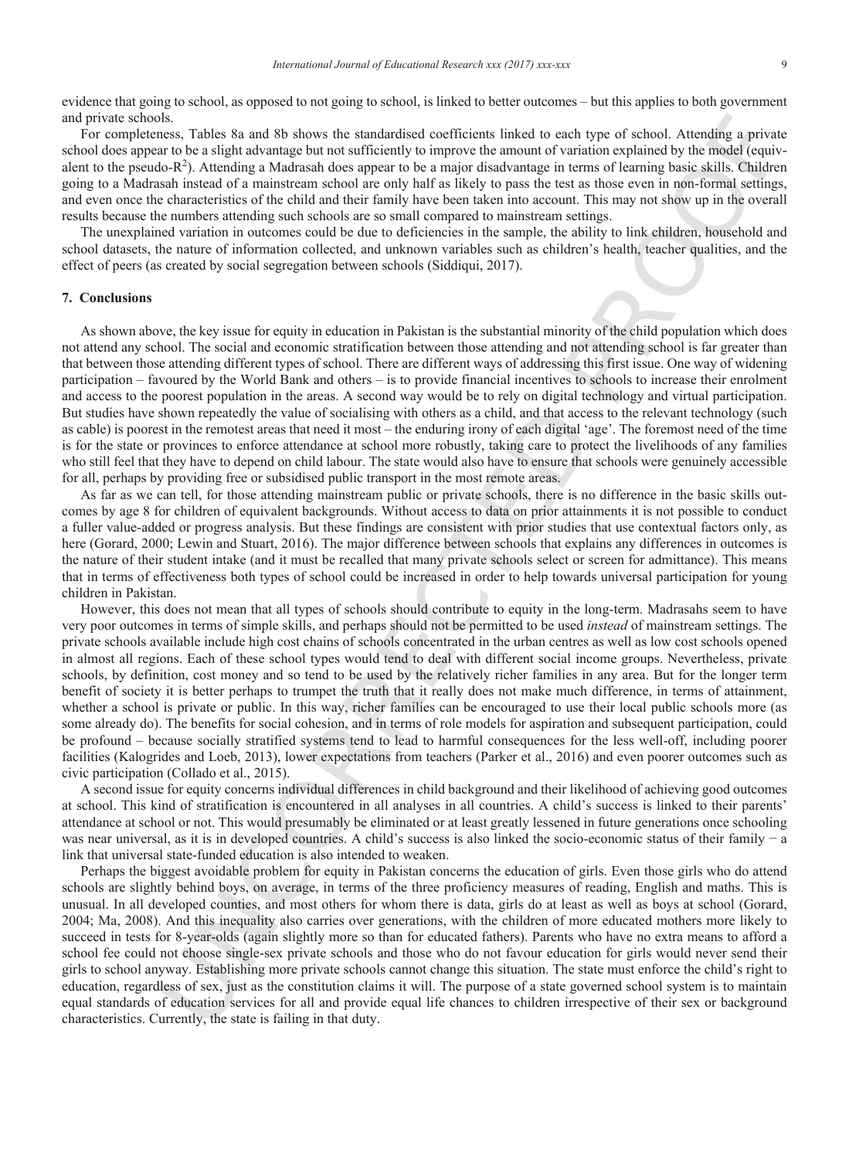evidence that going to school, as opposed to not going to school, is linked to better outcomes – but this applies to both government and private schools.

For completeness, Tables 8a and 8b shows the standardised coefficients linked to each type of school. Attending a private school does appear to be a slight advantage but not sufficiently to improve the amount of variation explained by the model (equivalent to the pseudo- $R^2$ ). Attending a Madrasah does appear to be a major disadvantage in terms of learning basic skills. Children going to a Madrasah instead of a mainstream school are only half as likely to pass the test as those even in non-formal settings, and even once the characteristics of the child and their family have been taken into account. This may not show up in the overall results because the numbers attending such schools are so small compared to mainstream settings.

The unexplained variation in outcomes could be due to deficiencies in the sample, the ability to link children, household and school datasets, the nature of information collected, and unknown variables such as children's health, teacher qualities, and the effect of peers (as created by social segregation between schools (Siddiqui, 2017).

## **7. Conclusions**

As shown above, the key issue for equity in education in Pakistan is the substantial minority of the child population which does not attend any school. The social and economic stratification between those attending and not attending school is far greater than that between those attending different types of school. There are different ways of addressing this first issue. One way of widening participation – favoured by the World Bank and others – is to provide financial incentives to schools to increase their enrolment and access to the poorest population in the areas. A second way would be to rely on digital technology and virtual participation. But studies have shown repeatedly the value of socialising with others as a child, and that access to the relevant technology (such as cable) is poorest in the remotest areas that need it most – the enduring irony of each digital 'age'. The foremost need of the time is for the state or provinces to enforce attendance at school more robustly, taking care to protect the livelihoods of any families who still feel that they have to depend on child labour. The state would also have to ensure that schools were genuinely accessible for all, perhaps by providing free or subsidised public transport in the most remote areas.

As far as we can tell, for those attending mainstream public or private schools, there is no difference in the basic skills outcomes by age 8 for children of equivalent backgrounds. Without access to data on prior attainments it is not possible to conduct a fuller value-added or progress analysis. But these findings are consistent with prior studies that use contextual factors only, as here (Gorard, 2000; Lewin and Stuart, 2016). The major difference between schools that explains any differences in outcomes is the nature of their student intake (and it must be recalled that many private schools select or screen for admittance). This means that in terms of effectiveness both types of school could be increased in order to help towards universal participation for young children in Pakistan.

Inc.<br>This is a main this bases the statistical confireints induced a rating to every local consistents. This is a main of the statistical consistents in the statistical consistents in the statistical consistents in the st However, this does not mean that all types of schools should contribute to equity in the long-term. Madrasahs seem to have very poor outcomes in terms of simple skills, and perhaps should not be permitted to be used *instead* of mainstream settings. The private schools available include high cost chains of schools concentrated in the urban centres as well as low cost schools opened in almost all regions. Each of these school types would tend to deal with different social income groups. Nevertheless, private schools, by definition, cost money and so tend to be used by the relatively richer families in any area. But for the longer term benefit of society it is better perhaps to trumpet the truth that it really does not make much difference, in terms of attainment, whether a school is private or public. In this way, richer families can be encouraged to use their local public schools more (as some already do). The benefits for social cohesion, and in terms of role models for aspiration and subsequent participation, could be profound – because socially stratified systems tend to lead to harmful consequences for the less well-off, including poorer facilities (Kalogrides and Loeb, 2013), lower expectations from teachers (Parker et al., 2016) and even poorer outcomes such as civic participation (Collado et al., 2015).

A second issue for equity concerns individual differences in child background and their likelihood of achieving good outcomes at school. This kind of stratification is encountered in all analyses in all countries. A child's success is linked to their parents' attendance at school or not. This would presumably be eliminated or at least greatly lessened in future generations once schooling was near universal, as it is in developed countries. A child's success is also linked the socio-economic status of their family − a link that universal state-funded education is also intended to weaken.

Perhaps the biggest avoidable problem for equity in Pakistan concerns the education of girls. Even those girls who do attend schools are slightly behind boys, on average, in terms of the three proficiency measures of reading, English and maths. This is unusual. In all developed counties, and most others for whom there is data, girls do at least as well as boys at school (Gorard, 2004; Ma, 2008). And this inequality also carries over generations, with the children of more educated mothers more likely to succeed in tests for 8-year-olds (again slightly more so than for educated fathers). Parents who have no extra means to afford a school fee could not choose single-sex private schools and those who do not favour education for girls would never send their girls to school anyway. Establishing more private schools cannot change this situation. The state must enforce the child's right to education, regardless of sex, just as the constitution claims it will. The purpose of a state governed school system is to maintain equal standards of education services for all and provide equal life chances to children irrespective of their sex or background characteristics. Currently, the state is failing in that duty.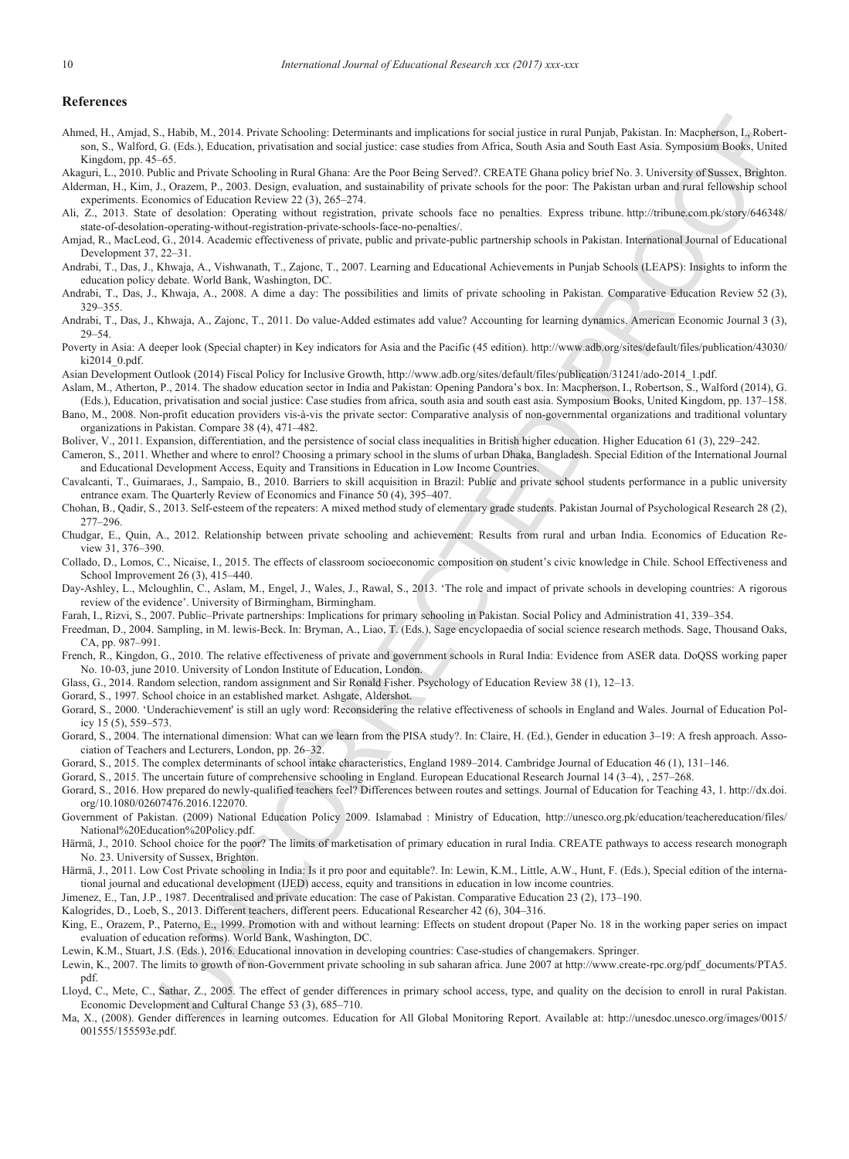#### **References**

1. has A k, 2001. From Maximira gatement and replaces for each union in real Particular and the Hamiltonian interesting include the state of the state of the state of the state of the state of the state of the state of t Ahmed, H., Amjad, S., Habib, M., 2014. Private Schooling: Determinants and implications for social justice in rural Punjab, Pakistan. In: Macpherson, I., Robertson, S., Walford, G. (Eds.), Education, privatisation and social justice: case studies from Africa, South Asia and South East Asia. Symposium Books, United Kingdom, pp. 45–65.

Akaguri, L., 2010. Public and Private Schooling in Rural Ghana: Are the Poor Being Served?. CREATE Ghana policy brief No. 3. University of Sussex, Brighton.

- Alderman, H., Kim, J., Orazem, P., 2003. Design, evaluation, and sustainability of private schools for the poor: The Pakistan urban and rural fellowship school experiments. Economics of Education Review 22 (3), 265–274.
- Ali, Z., 2013. State of desolation: Operating without registration, private schools face no penalties. Express tribune. http://tribune.com.pk/story/646348/ state-of-desolation-operating-without-registration-private-schools-face-no-penalties/.
- Amjad, R., MacLeod, G., 2014. Academic effectiveness of private, public and private-public partnership schools in Pakistan. International Journal of Educational Development 37, 22–31.
- Andrabi, T., Das, J., Khwaja, A., Vishwanath, T., Zajonc, T., 2007. Learning and Educational Achievements in Punjab Schools (LEAPS): Insights to inform the education policy debate. World Bank, Washington, DC.
- Andrabi, T., Das, J., Khwaja, A., 2008. A dime a day: The possibilities and limits of private schooling in Pakistan. Comparative Education Review 52 (3), 329–355.
- Andrabi, T., Das, J., Khwaja, A., Zajonc, T., 2011. Do value-Added estimates add value? Accounting for learning dynamics. American Economic Journal 3 (3), 29–54.
- Poverty in Asia: A deeper look (Special chapter) in Key indicators for Asia and the Pacific (45 edition). http://www.adb.org/sites/default/files/publication/43030/ ki2014\_0.pdf.
- Asian Development Outlook (2014) Fiscal Policy for Inclusive Growth, http://www.adb.org/sites/default/files/publication/31241/ado-2014\_1.pdf.
- Aslam, M., Atherton, P., 2014. The shadow education sector in India and Pakistan: Opening Pandora's box. In: Macpherson, I., Robertson, S., Walford (2014), G. (Eds.), Education, privatisation and social justice: Case studies from africa, south asia and south east asia. Symposium Books, United Kingdom, pp. 137–158.
- Bano, M., 2008. Non-profit education providers vis-à-vis the private sector: Comparative analysis of non-governmental organizations and traditional voluntary organizations in Pakistan. Compare 38 (4), 471–482.
- Boliver, V., 2011. Expansion, differentiation, and the persistence of social class inequalities in British higher education. Higher Education 61 (3), 229–242.
- Cameron, S., 2011. Whether and where to enrol? Choosing a primary school in the slums of urban Dhaka, Bangladesh. Special Edition of the International Journal and Educational Development Access, Equity and Transitions in Education in Low Income Countries.
- Cavalcanti, T., Guimaraes, J., Sampaio, B., 2010. Barriers to skill acquisition in Brazil: Public and private school students performance in a public university entrance exam. The Quarterly Review of Economics and Finance 50 (4), 395–407.
- Chohan, B., Qadir, S., 2013. Self-esteem of the repeaters: A mixed method study of elementary grade students. Pakistan Journal of Psychological Research 28 (2), 277–296.
- Chudgar, E., Quin, A., 2012. Relationship between private schooling and achievement: Results from rural and urban India. Economics of Education Review 31, 376–390.
- Collado, D., Lomos, C., Nicaise, I., 2015. The effects of classroom socioeconomic composition on student's civic knowledge in Chile. School Effectiveness and School Improvement 26 (3), 415–440.
- Day-Ashley, L., Mcloughlin, C., Aslam, M., Engel, J., Wales, J., Rawal, S., 2013. 'The role and impact of private schools in developing countries: A rigorous review of the evidence'. University of Birmingham, Birmingham.
- Farah, I., Rizvi, S., 2007. Public–Private partnerships: Implications for primary schooling in Pakistan. Social Policy and Administration 41, 339–354.
- Freedman, D., 2004. Sampling, in M. lewis-Beck. In: Bryman, A., Liao, T. (Eds.), Sage encyclopaedia of social science research methods. Sage, Thousand Oaks, CA, pp. 987–991.
- French, R., Kingdon, G., 2010. The relative effectiveness of private and government schools in Rural India: Evidence from ASER data. DoQSS working paper No. 10-03, june 2010. University of London Institute of Education, London.
- Glass, G., 2014. Random selection, random assignment and Sir Ronald Fisher. Psychology of Education Review 38 (1), 12–13.
- Gorard, S., 1997. School choice in an established market. Ashgate, Aldershot.
- Gorard, S., 2000. 'Underachievement' is still an ugly word: Reconsidering the relative effectiveness of schools in England and Wales. Journal of Education Policy 15 (5), 559–573.
- Gorard, S., 2004. The international dimension: What can we learn from the PISA study?. In: Claire, H. (Ed.), Gender in education 3–19: A fresh approach. Association of Teachers and Lecturers, London, pp. 26–32.
- Gorard, S., 2015. The complex determinants of school intake characteristics, England 1989–2014. Cambridge Journal of Education 46 (1), 131–146.
- Gorard, S., 2015. The uncertain future of comprehensive schooling in England. European Educational Research Journal 14 (3–4), , 257–268.
- Gorard, S., 2016. How prepared do newly-qualified teachers feel? Differences between routes and settings. Journal of Education for Teaching 43, 1. http://dx.doi. org/10.1080/02607476.2016.122070.
- Government of Pakistan. (2009) National Education Policy 2009. Islamabad : Ministry of Education, http://unesco.org.pk/education/teachereducation/files/ National%20Education%20Policy.pdf.
- Härmä, J., 2010. School choice for the poor? The limits of marketisation of primary education in rural India. CREATE pathways to access research monograph No. 23. University of Sussex, Brighton.
- Härmä, J., 2011. Low Cost Private schooling in India: Is it pro poor and equitable?. In: Lewin, K.M., Little, A.W., Hunt, F. (Eds.), Special edition of the international journal and educational development (IJED) access, equity and transitions in education in low income countries.
- Jimenez, E., Tan, J.P., 1987. Decentralised and private education: The case of Pakistan. Comparative Education 23 (2), 173–190.
- Kalogrides, D., Loeb, S., 2013. Different teachers, different peers. Educational Researcher 42 (6), 304–316.
- King, E., Orazem, P., Paterno, E., 1999. Promotion with and without learning: Effects on student dropout (Paper No. 18 in the working paper series on impact evaluation of education reforms). World Bank, Washington, DC.
- Lewin, K.M., Stuart, J.S. (Eds.), 2016. Educational innovation in developing countries: Case-studies of changemakers. Springer.
- Lewin, K., 2007. The limits to growth of non-Government private schooling in sub saharan africa. June 2007 at http://www.create-rpc.org/pdf\_documents/PTA5. pdf.
- Lloyd, C., Mete, C., Sathar, Z., 2005. The effect of gender differences in primary school access, type, and quality on the decision to enroll in rural Pakistan. Economic Development and Cultural Change 53 (3), 685–710.
- Ma, X., (2008). Gender differences in learning outcomes. Education for All Global Monitoring Report. Available at: http://unesdoc.unesco.org/images/0015/ 001555/155593e.pdf.